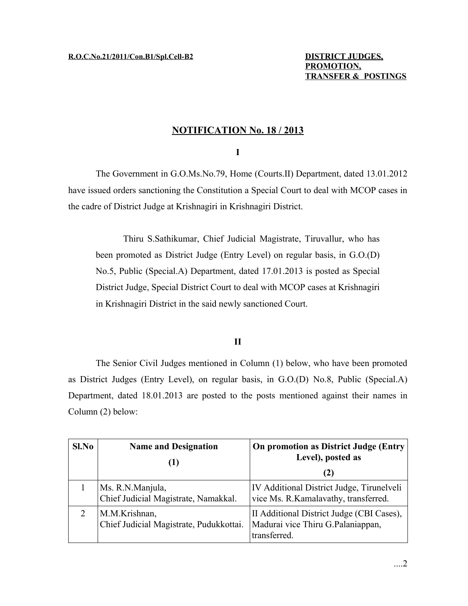### **NOTIFICATION No. 18 / 2013**

### **I**

The Government in G.O.Ms.No.79, Home (Courts.II) Department, dated 13.01.2012 have issued orders sanctioning the Constitution a Special Court to deal with MCOP cases in the cadre of District Judge at Krishnagiri in Krishnagiri District.

Thiru S.Sathikumar, Chief Judicial Magistrate, Tiruvallur, who has been promoted as District Judge (Entry Level) on regular basis, in G.O.(D) No.5, Public (Special.A) Department, dated 17.01.2013 is posted as Special District Judge, Special District Court to deal with MCOP cases at Krishnagiri in Krishnagiri District in the said newly sanctioned Court.

### **II**

The Senior Civil Judges mentioned in Column (1) below, who have been promoted as District Judges (Entry Level), on regular basis, in G.O.(D) No.8, Public (Special.A) Department, dated 18.01.2013 are posted to the posts mentioned against their names in Column (2) below:

| Sl.No | <b>Name and Designation</b>                              | <b>On promotion as District Judge (Entry)</b><br>Level), posted as<br>(Z)                      |
|-------|----------------------------------------------------------|------------------------------------------------------------------------------------------------|
|       | Ms. R.N.Manjula,<br>Chief Judicial Magistrate, Namakkal. | IV Additional District Judge, Tirunelveli<br>vice Ms. R. Kamalavathy, transferred.             |
|       | M.M.Krishnan,<br>Chief Judicial Magistrate, Pudukkottai. | II Additional District Judge (CBI Cases),<br>Madurai vice Thiru G.Palaniappan,<br>transferred. |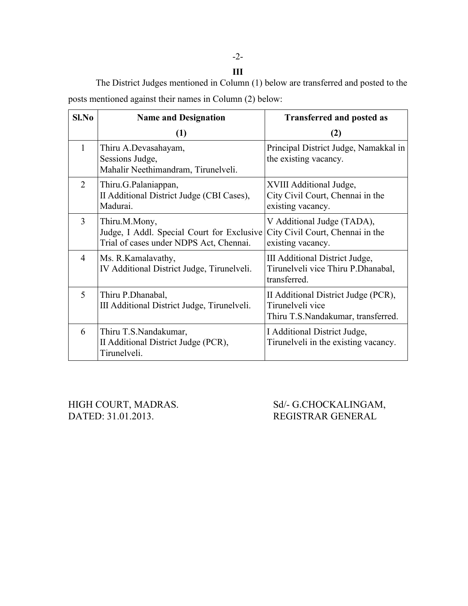## -2-

**III** The District Judges mentioned in Column (1) below are transferred and posted to the posts mentioned against their names in Column (2) below:

| Sl.No | <b>Name and Designation</b>                                                                            | <b>Transferred and posted as</b>                                                              |
|-------|--------------------------------------------------------------------------------------------------------|-----------------------------------------------------------------------------------------------|
|       | (1)                                                                                                    | (2)                                                                                           |
| 1     | Thiru A.Devasahayam,<br>Sessions Judge,<br>Mahalir Neethimandram, Tirunelveli.                         | Principal District Judge, Namakkal in<br>the existing vacancy.                                |
| 2     | Thiru.G.Palaniappan,<br>II Additional District Judge (CBI Cases),<br>Madurai.                          | XVIII Additional Judge,<br>City Civil Court, Chennai in the<br>existing vacancy.              |
| 3     | Thiru.M.Mony,<br>Judge, I Addl. Special Court for Exclusive<br>Trial of cases under NDPS Act, Chennai. | V Additional Judge (TADA),<br>City Civil Court, Chennai in the<br>existing vacancy.           |
| 4     | Ms. R.Kamalavathy,<br>IV Additional District Judge, Tirunelveli.                                       | III Additional District Judge,<br>Tirunelveli vice Thiru P. Dhanabal,<br>transferred.         |
| 5     | Thiru P. Dhanabal,<br>III Additional District Judge, Tirunelveli.                                      | II Additional District Judge (PCR),<br>Tirunelveli vice<br>Thiru T.S.Nandakumar, transferred. |
| 6     | Thiru T.S.Nandakumar,<br>II Additional District Judge (PCR),<br>Tirunelveli.                           | I Additional District Judge,<br>Tirunelveli in the existing vacancy.                          |

DATED: 31.01.2013. REGISTRAR GENERAL

HIGH COURT, MADRAS. Sd/- G.CHOCKALINGAM,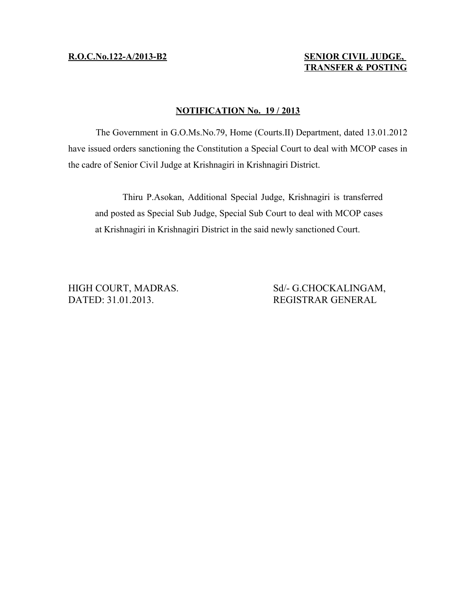### **R.O.C.No.122-A/2013-B2 SENIOR CIVIL JUDGE, TRANSFER & POSTING**

### **NOTIFICATION No. 19 / 2013**

The Government in G.O.Ms.No.79, Home (Courts.II) Department, dated 13.01.2012 have issued orders sanctioning the Constitution a Special Court to deal with MCOP cases in the cadre of Senior Civil Judge at Krishnagiri in Krishnagiri District.

Thiru P.Asokan, Additional Special Judge, Krishnagiri is transferred and posted as Special Sub Judge, Special Sub Court to deal with MCOP cases at Krishnagiri in Krishnagiri District in the said newly sanctioned Court.

DATED: 31.01.2013. REGISTRAR GENERAL

HIGH COURT, MADRAS. Sd/- G.CHOCKALINGAM,